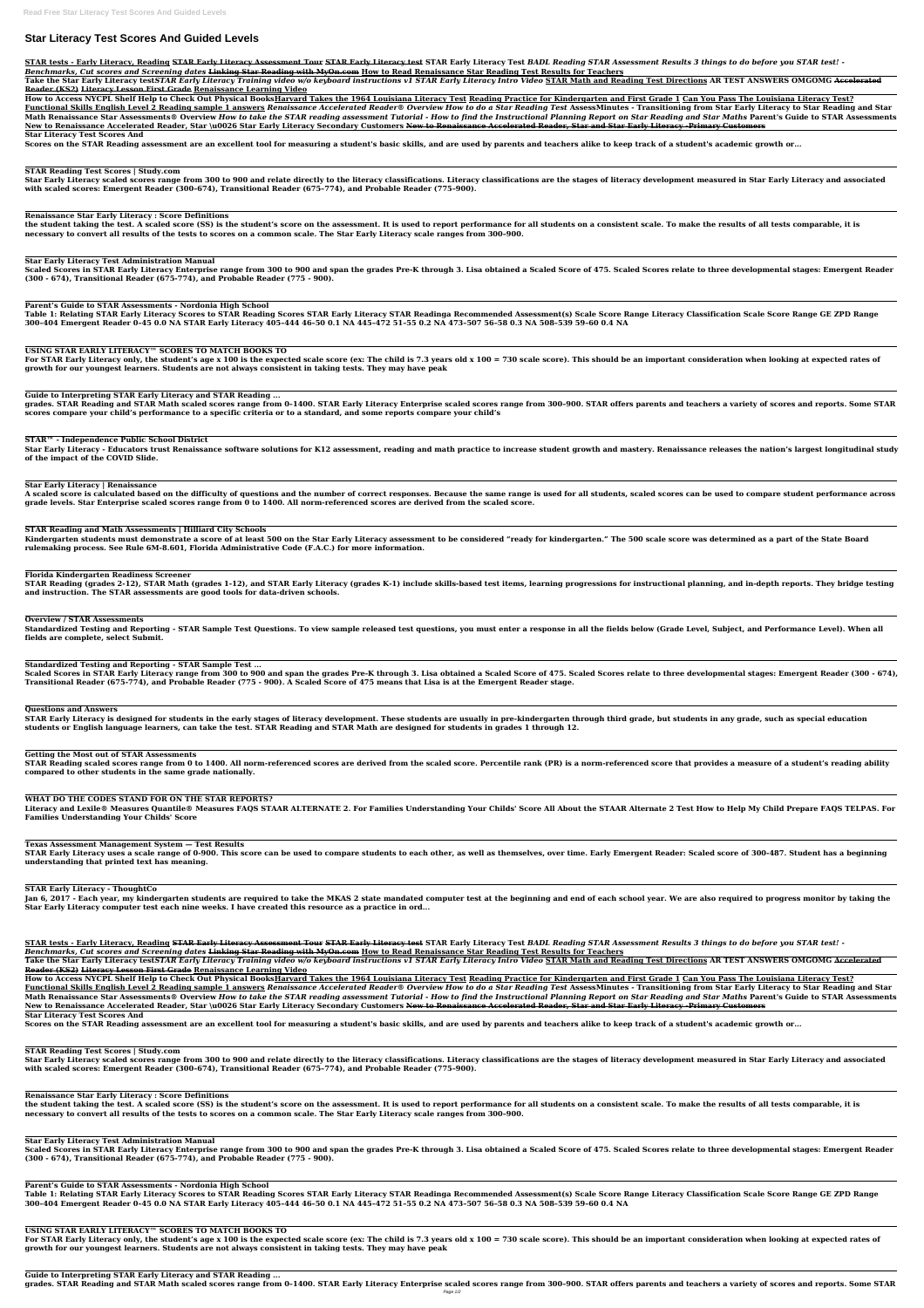# **Star Literacy Test Scores And Guided Levels**

STAR tests - Early Literacy, Reading STAR Early Literacy Assessment Tour STAR Early Literacy test STAR Early Literacy Test BADL Reading STAR Assessment Results 3 things to do before you STAR test! -*Benchmarks, Cut scores and Screening dates* **Linking Star Reading with MyOn.com How to Read Renaissance Star Reading Test Results for Teachers**

Take the Star Early Literacy testSTAR Early Literacy Training video w/o keyboard instructions v1 STAR Early Literacy Intro Video STAR Math and Reading Test Directions AR TEST ANSWERS OMGOMG Accelerated **Reader (KS2) Literacy Lesson First Grade Renaissance Learning Video**

**How to Access NYCPL Shelf Help to Check Out Physical BooksHarvard Takes the 1964 Louisiana Literacy Test Reading Practice for Kindergarten and First Grade 1 Can You Pass The Louisiana Literacy Test?** Functional Skills English Level 2 Reading sample 1 answers Renaissance Accelerated Reader® Overview How to do a Star Reading Test AssessMinutes - Transitioning from Star Early Literacy to Star Reading and Star Math Renaissance Star Assessments® Overview How to take the STAR reading assessment Tutorial - How to find the Instructional Planning Report on Star Reading and Star Maths Parent's Guide to STAR Assessments New to Renaissance Accelerated Reader, Star \u0026 Star Early Literacy Secondary Customers New to Renaissance Accelerated Reader, Star and Star Early Literacy -Primary Customers

Star Early Literacy scaled scores range from 300 to 900 and relate directly to the literacy classifications. Literacy classifications are the stages of literacy development measured in Star Early Literacy and associated **with scaled scores: Emergent Reader (300–674), Transitional Reader (675–774), and Probable Reader (775–900).**

**Star Literacy Test Scores And**

**Scores on the STAR Reading assessment are an excellent tool for measuring a student's basic skills, and are used by parents and teachers alike to keep track of a student's academic growth or...**

# **STAR Reading Test Scores | Study.com**

# **Renaissance Star Early Literacy : Score Definitions**

**the student taking the test. A scaled score (SS) is the student's score on the assessment. It is used to report performance for all students on a consistent scale. To make the results of all tests comparable, it is necessary to convert all results of the tests to scores on a common scale. The Star Early Literacy scale ranges from 300–900.**

# **Star Early Literacy Test Administration Manual**

**Scaled Scores in STAR Early Literacy Enterprise range from 300 to 900 and span the grades Pre-K through 3. Lisa obtained a Scaled Score of 475. Scaled Scores relate to three developmental stages: Emergent Reader (300 - 674), Transitional Reader (675-774), and Probable Reader (775 - 900).**

**Parent's Guide to STAR Assessments - Nordonia High School**

**Table 1: Relating STAR Early Literacy Scores to STAR Reading Scores STAR Early Literacy STAR Readinga Recommended Assessment(s) Scale Score Range Literacy Classification Scale Score Range GE ZPD Range 300–404 Emergent Reader 0–45 0.0 NA STAR Early Literacy 405–444 46–50 0.1 NA 445–472 51–55 0.2 NA 473–507 56–58 0.3 NA 508–539 59–60 0.4 NA**

# **USING STAR EARLY LITERACY™ SCORES TO MATCH BOOKS TO**

**For STAR Early Literacy only, the student's age x 100 is the expected scale score (ex: The child is 7.3 years old x 100 = 730 scale score). This should be an important consideration when looking at expected rates of growth for our youngest learners. Students are not always consistent in taking tests. They may have peak**

**Guide to Interpreting STAR Early Literacy and STAR Reading ...**

**grades. STAR Reading and STAR Math scaled scores range from 0–1400. STAR Early Literacy Enterprise scaled scores range from 300–900. STAR offers parents and teachers a variety of scores and reports. Some STAR scores compare your child's performance to a specific criteria or to a standard, and some reports compare your child's**

STAR tests - Early Literacy, Reading STAR Early Literacy Assessment Tour STAR Early Literacy test STAR Early Literacy Test BADL Reading STAR Assessment Results 3 things to do before you STAR test! -*Benchmarks, Cut scores and Screening dates* **Linking Star Reading with MyOn.com How to Read Renaissance Star Reading Test Results for Teachers**

**STAR™ - Independence Public School District**

Take the Star Early Literacy testSTAR Early Literacy Training video w/o keyboard instructions v1 STAR Early Literacy Intro Video STAR Math and Reading Test Directions AR TEST ANSWERS OMGOMG Accelerated **Reader (KS2) Literacy Lesson First Grade Renaissance Learning Video**

**How to Access NYCPL Shelf Help to Check Out Physical BooksHarvard Takes the 1964 Louisiana Literacy Test Reading Practice for Kindergarten and First Grade 1 Can You Pass The Louisiana Literacy Test?** Functional Skills English Level 2 Reading sample 1 answers Renaissance Accelerated Reader® Overview How to do a Star Reading Test AssessMinutes - Transitioning from Star Early Literacy to Star Reading and Star Math Renaissance Star Assessments® Overview How to take the STAR reading assessment Tutorial - How to find the Instructional Planning Report on Star Reading and Star Maths Parent's Guide to STAR Assessments New to Renaissance Accelerated Reader, Star \u0026 Star Early Literacy Secondary Customers New to Renaissance Accelerated Reader, Star and Star Early Literacy -Primary Customers

**Star Early Literacy - Educators trust Renaissance software solutions for K12 assessment, reading and math practice to increase student growth and mastery. Renaissance releases the nation's largest longitudinal study of the impact of the COVID Slide.**

**Star Early Literacy | Renaissance**

**A scaled score is calculated based on the difficulty of questions and the number of correct responses. Because the same range is used for all students, scaled scores can be used to compare student performance across grade levels. Star Enterprise scaled scores range from 0 to 1400. All norm-referenced scores are derived from the scaled score.**

#### **STAR Reading and Math Assessments | Hilliard City Schools**

**Kindergarten students must demonstrate a score of at least 500 on the Star Early Literacy assessment to be considered "ready for kindergarten." The 500 scale score was determined as a part of the State Board rulemaking process. See Rule 6M-8.601, Florida Administrative Code (F.A.C.) for more information.**

#### **Florida Kindergarten Readiness Screener**

**STAR Reading (grades 2-12), STAR Math (grades 1-12), and STAR Early Literacy (grades K-1) include skills-based test items, learning progressions for instructional planning, and in-depth reports. They bridge testing and instruction. The STAR assessments are good tools for data-driven schools.**

#### **Overview / STAR Assessments**

**Standardized Testing and Reporting - STAR Sample Test Questions. To view sample released test questions, you must enter a response in all the fields below (Grade Level, Subject, and Performance Level). When all fields are complete, select Submit.**

#### **Standardized Testing and Reporting - STAR Sample Test ...**

**Scaled Scores in STAR Early Literacy range from 300 to 900 and span the grades Pre-K through 3. Lisa obtained a Scaled Score of 475. Scaled Scores relate to three developmental stages: Emergent Reader (300 - 674), Transitional Reader (675-774), and Probable Reader (775 - 900). A Scaled Score of 475 means that Lisa is at the Emergent Reader stage.**

#### **Questions and Answers**

**STAR Early Literacy is designed for students in the early stages of literacy development. These students are usually in pre-kindergarten through third grade, but students in any grade, such as special education students or English language learners, can take the test. STAR Reading and STAR Math are designed for students in grades 1 through 12.**

#### **Getting the Most out of STAR Assessments**

**STAR Reading scaled scores range from 0 to 1400. All norm-referenced scores are derived from the scaled score. Percentile rank (PR) is a norm-referenced score that provides a measure of a student's reading ability compared to other students in the same grade nationally.**

## **WHAT DO THE CODES STAND FOR ON THE STAR REPORTS?**

**Literacy and Lexile® Measures Quantile® Measures FAQS STAAR ALTERNATE 2. For Families Understanding Your Childs' Score All About the STAAR Alternate 2 Test How to Help My Child Prepare FAQS TELPAS. For Families Understanding Your Childs' Score**

## **Texas Assessment Management System — Test Results**

**STAR Early Literacy uses a scale range of 0-900. This score can be used to compare students to each other, as well as themselves, over time. Early Emergent Reader: Scaled score of 300-487. Student has a beginning understanding that printed text has meaning.**

#### **STAR Early Literacy - ThoughtCo**

**Jan 6, 2017 - Each year, my kindergarten students are required to take the MKAS 2 state mandated computer test at the beginning and end of each school year. We are also required to progress monitor by taking the Star Early Literacy computer test each nine weeks. I have created this resource as a practice in ord...**

**Star Literacy Test Scores And**

**Scores on the STAR Reading assessment are an excellent tool for measuring a student's basic skills, and are used by parents and teachers alike to keep track of a student's academic growth or...**

**STAR Reading Test Scores | Study.com** Star Early Literacy scaled scores range from 300 to 900 and relate directly to the literacy classifications. Literacy classifications are the stages of literacy development measured in Star Early Literacy and associated **with scaled scores: Emergent Reader (300–674), Transitional Reader (675–774), and Probable Reader (775–900).**

**Renaissance Star Early Literacy : Score Definitions the student taking the test. A scaled score (SS) is the student's score on the assessment. It is used to report performance for all students on a consistent scale. To make the results of all tests comparable, it is necessary to convert all results of the tests to scores on a common scale. The Star Early Literacy scale ranges from 300–900.**

**Star Early Literacy Test Administration Manual Scaled Scores in STAR Early Literacy Enterprise range from 300 to 900 and span the grades Pre-K through 3. Lisa obtained a Scaled Score of 475. Scaled Scores relate to three developmental stages: Emergent Reader (300 - 674), Transitional Reader (675-774), and Probable Reader (775 - 900).**

**Parent's Guide to STAR Assessments - Nordonia High School Table 1: Relating STAR Early Literacy Scores to STAR Reading Scores STAR Early Literacy STAR Readinga Recommended Assessment(s) Scale Score Range Literacy Classification Scale Score Range GE ZPD Range 300–404 Emergent Reader 0–45 0.0 NA STAR Early Literacy 405–444 46–50 0.1 NA 445–472 51–55 0.2 NA 473–507 56–58 0.3 NA 508–539 59–60 0.4 NA**

# **USING STAR EARLY LITERACY™ SCORES TO MATCH BOOKS TO**

**For STAR Early Literacy only, the student's age x 100 is the expected scale score (ex: The child is 7.3 years old x 100 = 730 scale score). This should be an important consideration when looking at expected rates of growth for our youngest learners. Students are not always consistent in taking tests. They may have peak**

**Guide to Interpreting STAR Early Literacy and STAR Reading ...**

**grades. STAR Reading and STAR Math scaled scores range from 0–1400. STAR Early Literacy Enterprise scaled scores range from 300–900. STAR offers parents and teachers a variety of scores and reports. Some STAR**